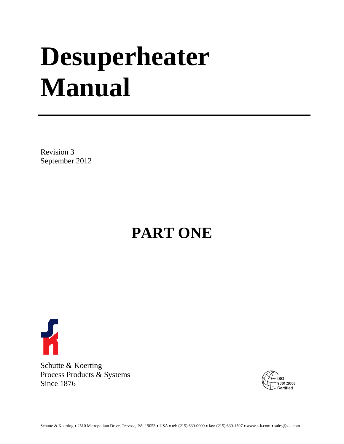# **Desuperheater Manual**

Revision 3 September 2012

## **PART ONE**



Schutte & Koerting Process Products & Systems Since 1876

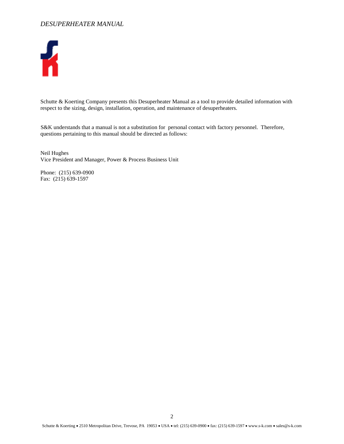

Schutte & Koerting Company presents this Desuperheater Manual as a tool to provide detailed information with respect to the sizing, design, installation, operation, and maintenance of desuperheaters.

S&K understands that a manual is not a substitution for personal contact with factory personnel. Therefore, questions pertaining to this manual should be directed as follows:

Neil Hughes Vice President and Manager, Power & Process Business Unit

Phone: (215) 639-0900 Fax: (215) 639-1597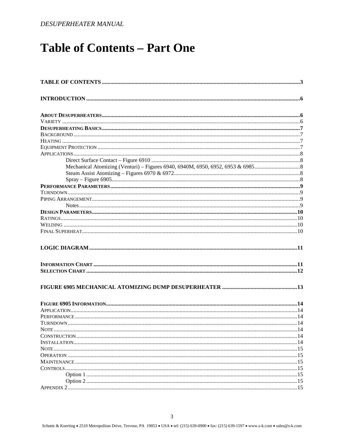### <span id="page-2-0"></span>**Table of Contents - Part One**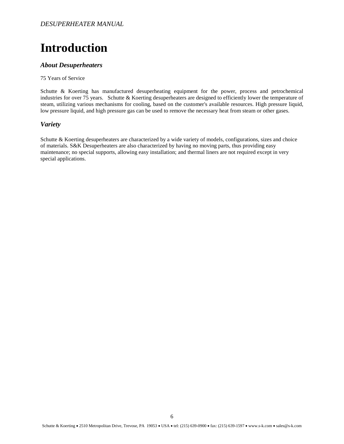### <span id="page-5-0"></span>**Introduction**

#### <span id="page-5-1"></span>*About Desuperheaters*

#### 75 Years of Service

Schutte & Koerting has manufactured desuperheating equipment for the power, process and petrochemical industries for over 75 years. Schutte & Koerting desuperheaters are designed to efficiently lower the temperature of steam, utilizing various mechanisms for cooling, based on the customer's available resources. High pressure liquid, low pressure liquid, and high pressure gas can be used to remove the necessary heat from steam or other gases.

#### <span id="page-5-2"></span>*Variety*

Schutte & Koerting desuperheaters are characterized by a wide variety of models, configurations, sizes and choice of materials. S&K Desuperheaters are also characterized by having no moving parts, thus providing easy maintenance; no special supports, allowing easy installation; and thermal liners are not required except in very special applications.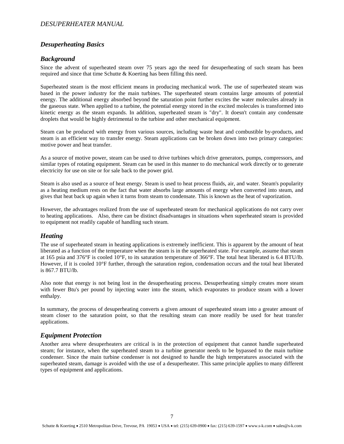#### <span id="page-6-0"></span>*Desuperheating Basics*

#### <span id="page-6-1"></span>*Background*

Since the advent of superheated steam over 75 years ago the need for desuperheating of such steam has been required and since that time Schutte & Koerting has been filling this need.

Superheated steam is the most efficient means in producing mechanical work. The use of superheated steam was based in the power industry for the main turbines. The superheated steam contains large amounts of potential energy. The additional energy absorbed beyond the saturation point further excites the water molecules already in the gaseous state. When applied to a turbine, the potential energy stored in the excited molecules is transformed into kinetic energy as the steam expands. In addition, superheated steam is "dry". It doesn't contain any condensate droplets that would be highly detrimental to the turbine and other mechanical equipment.

Steam can be produced with energy from various sources, including waste heat and combustible by-products, and steam is an efficient way to transfer energy. Steam applications can be broken down into two primary categories: motive power and heat transfer.

As a source of motive power, steam can be used to drive turbines which drive generators, pumps, compressors, and similar types of rotating equipment. Steam can be used in this manner to do mechanical work directly or to generate electricity for use on site or for sale back to the power grid.

Steam is also used as a source of heat energy. Steam is used to heat process fluids, air, and water. Steam's popularity as a heating medium rests on the fact that water absorbs large amounts of energy when converted into steam, and gives that heat back up again when it turns from steam to condensate. This is known as the heat of vaporization.

However, the advantages realized from the use of superheated steam for mechanical applications do not carry over to heating applications. Also, there can be distinct disadvantages in situations when superheated steam is provided to equipment not readily capable of handling such steam.

#### <span id="page-6-2"></span>*Heating*

The use of superheated steam in heating applications is extremely inefficient. This is apparent by the amount of heat liberated as a function of the temperature when the steam is in the superheated state. For example, assume that steam at 165 psia and 376°F is cooled 10°F, to its saturation temperature of 366°F. The total heat liberated is 6.4 BTU/lb. However, if it is cooled 10°F further, through the saturation region, condensation occurs and the total heat liberated is 867.7 BTU/lb.

Also note that energy is not being lost in the desuperheating process. Desuperheating simply creates more steam with fewer Btu's per pound by injecting water into the steam, which evaporates to produce steam with a lower enthalpy.

In summary, the process of desuperheating converts a given amount of superheated steam into a greater amount of steam closer to the saturation point, so that the resulting steam can more readily be used for heat transfer applications.

#### <span id="page-6-3"></span>*Equipment Protection*

Another area where desuperheaters are critical is in the protection of equipment that cannot handle superheated steam; for instance, when the superheated steam to a turbine generator needs to be bypassed to the main turbine condenser. Since the main turbine condenser is not designed to handle the high temperatures associated with the superheated steam, damage is avoided with the use of a desuperheater. This same principle applies to many different types of equipment and applications.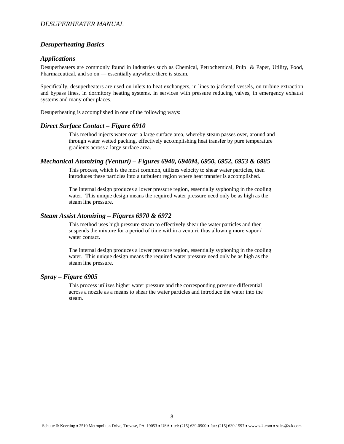#### *Desuperheating Basics*

#### <span id="page-7-0"></span>*Applications*

Desuperheaters are commonly found in industries such as Chemical, Petrochemical, Pulp & Paper, Utility, Food, Pharmaceutical, and so on — essentially anywhere there is steam.

Specifically, desuperheaters are used on inlets to heat exchangers, in lines to jacketed vessels, on turbine extraction and bypass lines, in dormitory heating systems, in services with pressure reducing valves, in emergency exhaust systems and many other places.

Desuperheating is accomplished in one of the following ways:

#### <span id="page-7-1"></span>*Direct Surface Contact – Figure 6910*

This method injects water over a large surface area, whereby steam passes over, around and through water wetted packing, effectively accomplishing heat transfer by pure temperature gradients across a large surface area.

#### <span id="page-7-2"></span>*Mechanical Atomizing (Venturi) – Figures 6940, 6940M, 6950, 6952, 6953 & 6985*

This process, which is the most common, utilizes velocity to shear water particles, then introduces these particles into a turbulent region where heat transfer is accomplished.

The internal design produces a lower pressure region, essentially syphoning in the cooling water. This unique design means the required water pressure need only be as high as the steam line pressure.

#### <span id="page-7-3"></span>*Steam Assist Atomizing – Figures 6970 & 6972*

This method uses high pressure steam to effectively shear the water particles and then suspends the mixture for a period of time within a venturi, thus allowing more vapor / water contact.

The internal design produces a lower pressure region, essentially syphoning in the cooling water. This unique design means the required water pressure need only be as high as the steam line pressure.

#### <span id="page-7-4"></span>*Spray – Figure 6905*

This process utilizes higher water pressure and the corresponding pressure differential across a nozzle as a means to shear the water particles and introduce the water into the steam.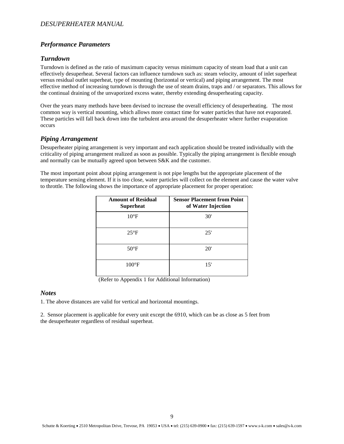#### <span id="page-8-0"></span>*Performance Parameters*

#### <span id="page-8-1"></span>*Turndown*

Turndown is defined as the ratio of maximum capacity versus minimum capacity of steam load that a unit can effectively desuperheat. Several factors can influence turndown such as: steam velocity, amount of inlet superheat versus residual outlet superheat, type of mounting (horizontal or vertical) and piping arrangement. The most effective method of increasing turndown is through the use of steam drains, traps and / or separators. This allows for the continual draining of the unvaporized excess water, thereby extending desuperheating capacity.

Over the years many methods have been devised to increase the overall efficiency of desuperheating. The most common way is vertical mounting, which allows more contact time for water particles that have not evaporated. These particles will fall back down into the turbulent area around the desuperheater where further evaporation occurs

#### <span id="page-8-2"></span>*Piping Arrangement*

Desuperheater piping arrangement is very important and each application should be treated individually with the criticality of piping arrangement realized as soon as possible. Typically the piping arrangement is flexible enough and normally can be mutually agreed upon between S&K and the customer.

The most important point about piping arrangement is not pipe lengths but the appropriate placement of the temperature sensing element. If it is too close, water particles will collect on the element and cause the water valve to throttle. The following shows the importance of appropriate placement for proper operation:

| <b>Amount of Residual</b><br>Superheat | <b>Sensor Placement from Point</b><br>of Water Injection |
|----------------------------------------|----------------------------------------------------------|
| $10^{\circ}$ F                         | 30'                                                      |
| $25^{\circ}F$                          | 25'                                                      |
| $50^{\circ}$ F                         | 20'                                                      |
| $100^{\circ}$ F                        | 15'                                                      |

(Refer to Appendix 1 for Additional Information)

#### <span id="page-8-3"></span>*Notes*

1. The above distances are valid for vertical and horizontal mountings.

2. Sensor placement is applicable for every unit except the 6910, which can be as close as 5 feet from the desuperheater regardless of residual superheat.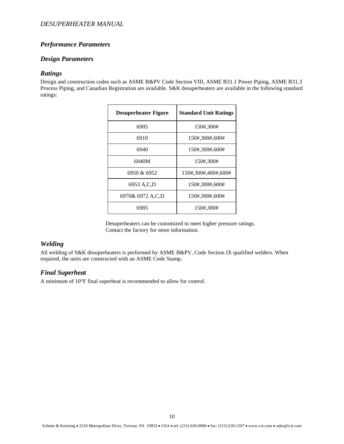#### *Performance Parameters*

#### <span id="page-9-0"></span>*Design Parameters*

#### <span id="page-9-1"></span>*Ratings*

Design and construction codes such as ASME B&PV Code Section VIII, ASME B31.1 Power Piping, ASME B31.3 Process Piping, and Canadian Registration are available. S&K desuperheaters are available in the following standard ratings:

| <b>Desuperheater Figure</b> | <b>Standard Unit Ratings</b> |
|-----------------------------|------------------------------|
| 6905                        | 150#,300#                    |
| 6910                        | 150#,300#,600#               |
| 6940                        | 150#,300#,600#               |
| 6940M                       | 150#,300#                    |
| 6950 & 6952                 | 150#,300#,400#,600#          |
| 6953 A.C.D                  | 150#,300#,600#               |
| 6970& 6972 A.C.D            | 150#,300#,600#               |
| 6985                        | 150#,300#                    |

 Desuperheaters can be customized to meet higher pressure ratings. Contact the factory for more information.

#### <span id="page-9-2"></span>*Welding*

All welding of S&K desuperheaters is performed by ASME B&PV, Code Section IX qualified welders. When required, the units are constructed with an ASME Code Stamp.

#### <span id="page-9-3"></span>*Final Superheat*

A minimum of 10°F final superheat is recommended to allow for control.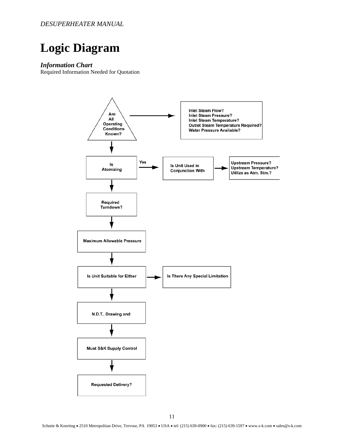### <span id="page-10-0"></span>**Logic Diagram**

#### <span id="page-10-1"></span>*Information Chart*

Required Information Needed for Quotation

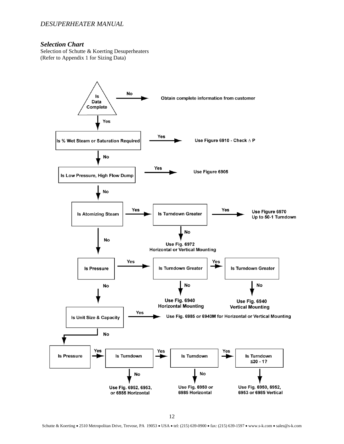#### <span id="page-11-0"></span>*Selection Chart*

Selection of Schutte & Koerting Desuperheaters (Refer to Appendix 1 for Sizing Data)

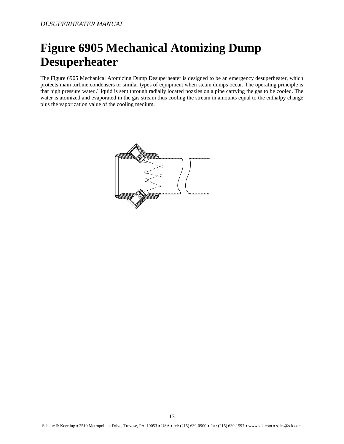### <span id="page-12-0"></span>**Figure 6905 Mechanical Atomizing Dump Desuperheater**

The Figure 6905 Mechanical Atomizing Dump Desuperheater is designed to be an emergency desuperheater, which protects main turbine condensers or similar types of equipment when steam dumps occur. The operating principle is that high pressure water / liquid is sent through radially located nozzles on a pipe carrying the gas to be cooled. The water is atomized and evaporated in the gas stream thus cooling the stream in amounts equal to the enthalpy change plus the vaporization value of the cooling medium.

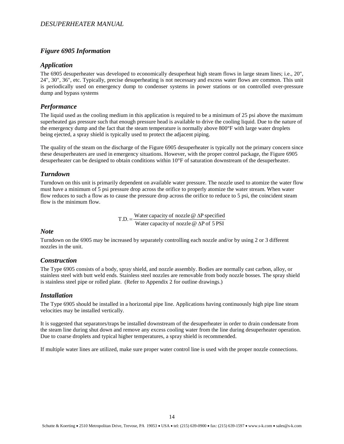#### <span id="page-13-0"></span>*Figure 6905 Information*

#### <span id="page-13-1"></span>*Application*

The 6905 desuperheater was developed to economically desuperheat high steam flows in large steam lines; i.e., 20", 24", 30", 36", etc. Typically, precise desuperheating is not necessary and excess water flows are common. This unit is periodically used on emergency dump to condenser systems in power stations or on controlled over-pressure dump and bypass systems

#### <span id="page-13-2"></span>*Performance*

The liquid used as the cooling medium in this application is required to be a minimum of 25 psi above the maximum superheated gas pressure such that enough pressure head is available to drive the cooling liquid. Due to the nature of the emergency dump and the fact that the steam temperature is normally above 800°F with large water droplets being ejected, a spray shield is typically used to protect the adjacent piping.

The quality of the steam on the discharge of the Figure 6905 desuperheater is typically not the primary concern since these desuperheaters are used in emergency situations. However, with the proper control package, the Figure 6905 desuperheater can be designed to obtain conditions within 10°F of saturation downstream of the desuperheater.

#### <span id="page-13-3"></span>*Turndown*

Turndown on this unit is primarily dependent on available water pressure. The nozzle used to atomize the water flow must have a minimum of 5 psi pressure drop across the orifice to properly atomize the water stream. When water flow reduces to such a flow as to cause the pressure drop across the orifice to reduce to 5 psi, the coincident steam flow is the minimum flow.

T.D. = Water capacity of nozzle  $\omega \Delta P$  specified<br>Water capacity of nozzle  $\omega \Delta P$  of 5 PSI

#### <span id="page-13-4"></span>*Note*

Turndown on the 6905 may be increased by separately controlling each nozzle and/or by using 2 or 3 different nozzles in the unit.

#### <span id="page-13-5"></span>*Construction*

The Type 6905 consists of a body, spray shield, and nozzle assembly. Bodies are normally cast carbon, alloy, or stainless steel with butt weld ends. Stainless steel nozzles are removable from body nozzle bosses. The spray shield is stainless steel pipe or rolled plate. (Refer to Appendix 2 for outline drawings.)

#### <span id="page-13-6"></span>*Installation*

The Type 6905 should be installed in a horizontal pipe line. Applications having continuously high pipe line steam velocities may be installed vertically.

It is suggested that separators/traps be installed downstream of the desuperheater in order to drain condensate from the steam line during shut down and remove any excess cooling water from the line during desuperheater operation. Due to coarse droplets and typical higher temperatures, a spray shield is recommended.

If multiple water lines are utilized, make sure proper water control line is used with the proper nozzle connections.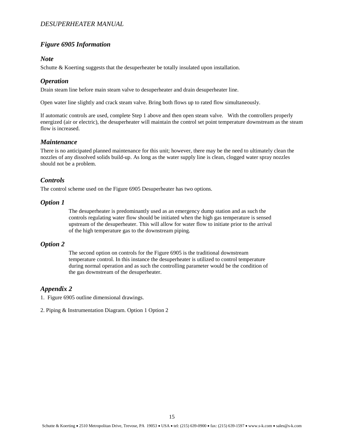#### *Figure 6905 Information*

#### <span id="page-14-0"></span>*Note*

Schutte & Koerting suggests that the desuperheater be totally insulated upon installation.

#### <span id="page-14-1"></span>*Operation*

Drain steam line before main steam valve to desuperheater and drain desuperheater line.

Open water line slightly and crack steam valve. Bring both flows up to rated flow simultaneously.

If automatic controls are used, complete Step 1 above and then open steam valve. With the controllers properly energized (air or electric), the desuperheater will maintain the control set point temperature downstream as the steam flow is increased.

#### <span id="page-14-2"></span>*Maintenance*

There is no anticipated planned maintenance for this unit; however, there may be the need to ultimately clean the nozzles of any dissolved solids build-up. As long as the water supply line is clean, clogged water spray nozzles should not be a problem.

#### <span id="page-14-3"></span>*Controls*

The control scheme used on the Figure 6905 Desuperheater has two options.

#### <span id="page-14-4"></span>*Option 1*

The desuperheater is predominantly used as an emergency dump station and as such the controls regulating water flow should be initiated when the high gas temperature is sensed upstream of the desuperheater. This will allow for water flow to initiate prior to the arrival of the high temperature gas to the downstream piping.

#### <span id="page-14-5"></span>*Option 2*

The second option on controls for the Figure 6905 is the traditional downstream temperature control. In this instance the desuperheater is utilized to control temperature during normal operation and as such the controlling parameter would be the condition of the gas downstream of the desuperheater.

#### <span id="page-14-6"></span>*Appendix 2*

1. Figure 6905 outline dimensional drawings.

2. Piping & Instrumentation Diagram. Option 1 Option 2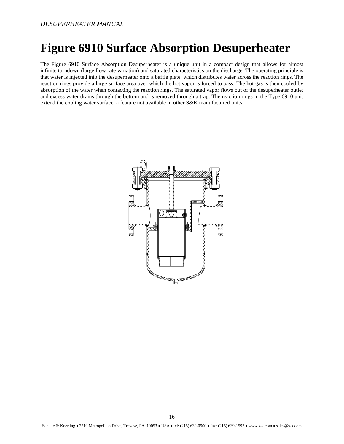### <span id="page-15-0"></span>**Figure 6910 Surface Absorption Desuperheater**

The Figure 6910 Surface Absorption Desuperheater is a unique unit in a compact design that allows for almost infinite turndown (large flow rate variation) and saturated characteristics on the discharge. The operating principle is that water is injected into the desuperheater onto a baffle plate, which distributes water across the reaction rings. The reaction rings provide a large surface area over which the hot vapor is forced to pass. The hot gas is then cooled by absorption of the water when contacting the reaction rings. The saturated vapor flows out of the desuperheater outlet and excess water drains through the bottom and is removed through a trap. The reaction rings in the Type 6910 unit extend the cooling water surface, a feature not available in other S&K manufactured units.

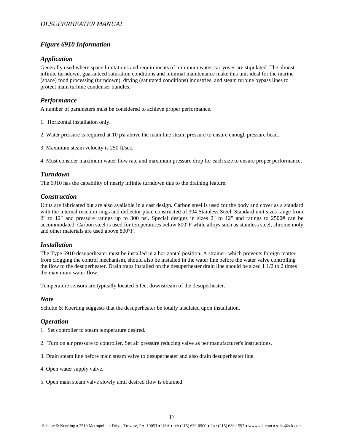#### <span id="page-16-0"></span>*Figure 6910 Information*

#### <span id="page-16-1"></span>*Application*

Generally used where space limitations and requirements of minimum water carryover are stipulated. The almost infinite turndown, guaranteed saturation conditions and minimal maintenance make this unit ideal for the marine (space) food processing (turndown), drying (saturated conditions) industries, and steam turbine bypass lines to protect main turbine condenser bundles.

#### <span id="page-16-2"></span>*Performance*

A number of parameters must be considered to achieve proper performance.

- 1. Horizontal installation only.
- 2. Water pressure is required at 10 psi above the main line steam pressure to ensure enough pressure head.
- 3. Maximum steam velocity is 250 ft/sec.

4. Must consider maximum water flow rate and maximum pressure drop for each size to ensure proper performance.

#### <span id="page-16-3"></span>*Turndown*

The 6910 has the capability of nearly infinite turndown due to the draining feature.

#### <span id="page-16-4"></span>*Construction*

Units are fabricated but are also available in a cast design. Carbon steel is used for the body and cover as a standard with the internal reaction rings and deflector plate constructed of 304 Stainless Steel. Standard unit sizes range from 2" to 12" and pressure ratings up to 300 psi. Special designs in sizes 2" to 12" and ratings to 2500# can be accommodated. Carbon steel is used for temperatures below 800°F while alloys such as stainless steel, chrome moly and other materials are used above 800°F.

#### <span id="page-16-5"></span>*Installation*

The Type 6910 desuperheater must be installed in a horizontal position. A strainer, which prevents foreign matter from clogging the control mechanism, should also be installed in the water line before the water valve controlling the flow to the desuperheater. Drain traps installed on the desuperheater drain line should be sized 1 1/2 to 2 times the maximum water flow.

Temperature sensors are typically located 5 feet downstream of the desuperheater.

#### <span id="page-16-6"></span>*Note*

Schutte & Koerting suggests that the desuperheater be totally insulated upon installation.

#### <span id="page-16-7"></span>*Operation*

1. Set controller to steam temperature desired.

- 2. Turn on air pressure to controller. Set air pressure reducing valve as per manufacturer's instructions.
- 3. Drain steam line before main steam valve to desuperheater and also drain desuperheater line.
- 4. Open water supply valve.
- 5. Open main steam valve slowly until desired flow is obtained.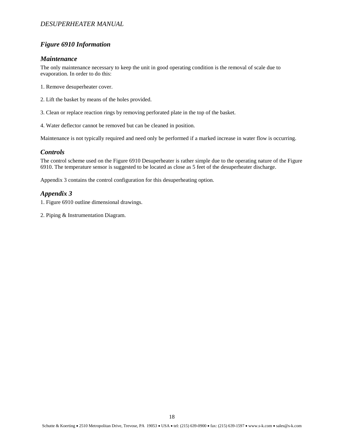#### *Figure 6910 Information*

#### <span id="page-17-0"></span>*Maintenance*

The only maintenance necessary to keep the unit in good operating condition is the removal of scale due to evaporation. In order to do this:

- 1. Remove desuperheater cover.
- 2. Lift the basket by means of the holes provided.

3. Clean or replace reaction rings by removing perforated plate in the top of the basket.

4. Water deflector cannot be removed but can be cleaned in position.

Maintenance is not typically required and need only be performed if a marked increase in water flow is occurring.

#### <span id="page-17-1"></span>*Controls*

The control scheme used on the Figure 6910 Desuperheater is rather simple due to the operating nature of the Figure 6910. The temperature sensor is suggested to be located as close as 5 feet of the desuperheater discharge.

Appendix 3 contains the control configuration for this desuperheating option.

#### <span id="page-17-2"></span>*Appendix 3*

- 1. Figure 6910 outline dimensional drawings.
- 2. Piping & Instrumentation Diagram.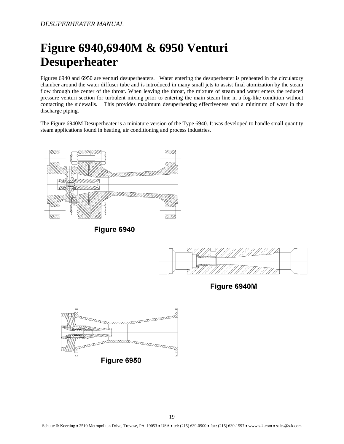### <span id="page-18-0"></span>**Figure 6940,6940M & 6950 Venturi Desuperheater**

Figures 6940 and 6950 are venturi desuperheaters. Water entering the desuperheater is preheated in the circulatory chamber around the water diffuser tube and is introduced in many small jets to assist final atomization by the steam flow through the center of the throat. When leaving the throat, the mixture of steam and water enters the reduced pressure venturi section for turbulent mixing prior to entering the main steam line in a fog-like condition without contacting the sidewalls. This provides maximum desuperheating effectiveness and a minimum of wear in the discharge piping.

The Figure 6940M Desuperheater is a miniature version of the Type 6940. It was developed to handle small quantity steam applications found in heating, air conditioning and process industries.



Figure 6940



Figure 6940M

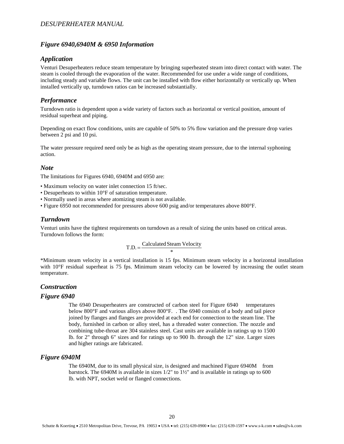#### <span id="page-19-0"></span>*Figure 6940,6940M & 6950 Information*

#### <span id="page-19-1"></span>*Application*

Venturi Desuperheaters reduce steam temperature by bringing superheated steam into direct contact with water. The steam is cooled through the evaporation of the water. Recommended for use under a wide range of conditions, including steady and variable flows. The unit can be installed with flow either horizontally or vertically up. When installed vertically up, turndown ratios can be increased substantially.

#### <span id="page-19-2"></span>*Performance*

Turndown ratio is dependent upon a wide variety of factors such as horizontal or vertical position, amount of residual superheat and piping.

Depending on exact flow conditions, units are capable of 50% to 5% flow variation and the pressure drop varies between 2 psi and 10 psi.

The water pressure required need only be as high as the operating steam pressure, due to the internal syphoning action.

#### <span id="page-19-3"></span>*Note*

The limitations for Figures 6940, 6940M and 6950 are:

- Maximum velocity on water inlet connection 15 ft/sec.
- Desuperheats to within 10°F of saturation temperature.
- Normally used in areas where atomizing steam is not available.
- Figure 6950 not recommended for pressures above 600 psig and/or temperatures above 800°F.

#### <span id="page-19-4"></span>*Turndown*

Venturi units have the tightest requirements on turndown as a result of sizing the units based on critical areas. Turndown follows the form:

$$
T.D. = \frac{Calculated^{*}}{4}
$$

\*Minimum steam velocity in a vertical installation is 15 fps. Minimum steam velocity in a horizontal installation with 10°F residual superheat is 75 fps. Minimum steam velocity can be lowered by increasing the outlet steam temperature.

#### <span id="page-19-5"></span>*Construction*

#### <span id="page-19-6"></span>*Figure 6940*

The 6940 Desuperheaters are constructed of carbon steel for Figure 6940 temperatures below 800°F and various alloys above 800°F. . The 6940 consists of a body and tail piece joined by flanges and flanges are provided at each end for connection to the steam line. The body, furnished in carbon or alloy steel, has a threaded water connection. The nozzle and combining tube-throat are 304 stainless steel. Cast units are available in ratings up to 1500 lb. for 2" through 6" sizes and for ratings up to 900 lb. through the 12" size. Larger sizes and higher ratings are fabricated.

#### <span id="page-19-7"></span>*Figure 6940M*

The 6940M, due to its small physical size, is designed and machined Figure 6940M from barstock. The 6940M is available in sizes  $1/2$ " to  $1\frac{1}{2}$ " and is available in ratings up to 600 lb. with NPT, socket weld or flanged connections.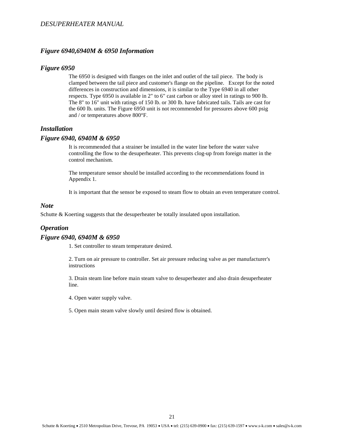#### *Figure 6940,6940M & 6950 Information*

#### <span id="page-20-0"></span>*Figure 6950*

The 6950 is designed with flanges on the inlet and outlet of the tail piece. The body is clamped between the tail piece and customer's flange on the pipeline. Except for the noted differences in construction and dimensions, it is similar to the Type 6940 in all other respects. Type 6950 is available in 2" to 6" cast carbon or alloy steel in ratings to 900 lb. The 8" to 16" unit with ratings of 150 lb. or 300 lb. have fabricated tails. Tails are cast for the 600 lb. units. The Figure 6950 unit is not recommended for pressures above 600 psig and / or temperatures above 800°F.

#### <span id="page-20-1"></span>*Installation*

#### <span id="page-20-2"></span>*Figure 6940, 6940M & 6950*

It is recommended that a strainer be installed in the water line before the water valve controlling the flow to the desuperheater. This prevents clog-up from foreign matter in the control mechanism.

The temperature sensor should be installed according to the recommendations found in Appendix 1.

It is important that the sensor be exposed to steam flow to obtain an even temperature control.

#### <span id="page-20-3"></span>*Note*

Schutte & Koerting suggests that the desuperheater be totally insulated upon installation.

#### <span id="page-20-4"></span>*Operation*

#### <span id="page-20-5"></span>*Figure 6940, 6940M & 6950*

1. Set controller to steam temperature desired.

2. Turn on air pressure to controller. Set air pressure reducing valve as per manufacturer's instructions

3. Drain steam line before main steam valve to desuperheater and also drain desuperheater line.

- 4. Open water supply valve.
- 5. Open main steam valve slowly until desired flow is obtained.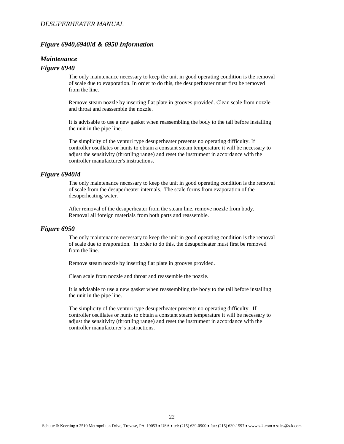#### *Figure 6940,6940M & 6950 Information*

#### <span id="page-21-0"></span>*Maintenance*

#### <span id="page-21-1"></span>*Figure 6940*

The only maintenance necessary to keep the unit in good operating condition is the removal of scale due to evaporation. In order to do this, the desuperheater must first be removed from the line.

Remove steam nozzle by inserting flat plate in grooves provided. Clean scale from nozzle and throat and reassemble the nozzle.

It is advisable to use a new gasket when reassembling the body to the tail before installing the unit in the pipe line.

The simplicity of the venturi type desuperheater presents no operating difficulty. If controller oscillates or hunts to obtain a constant steam temperature it will be necessary to adjust the sensitivity (throttling range) and reset the instrument in accordance with the controller manufacturer's instructions.

#### <span id="page-21-2"></span>*Figure 6940M*

The only maintenance necessary to keep the unit in good operating condition is the removal of scale from the desuperheater internals. The scale forms from evaporation of the desuperheating water.

After removal of the desuperheater from the steam line, remove nozzle from body. Removal all foreign materials from both parts and reassemble.

#### <span id="page-21-3"></span>*Figure 6950*

The only maintenance necessary to keep the unit in good operating condition is the removal of scale due to evaporation. In order to do this, the desuperheater must first be removed from the line.

Remove steam nozzle by inserting flat plate in grooves provided.

Clean scale from nozzle and throat and reassemble the nozzle.

It is advisable to use a new gasket when reassembling the body to the tail before installing the unit in the pipe line.

The simplicity of the venturi type desuperheater presents no operating difficulty. If controller oscillates or hunts to obtain a constant steam temperature it will be necessary to adjust the sensitivity (throttling range) and reset the instrument in accordance with the controller manufacturer's instructions.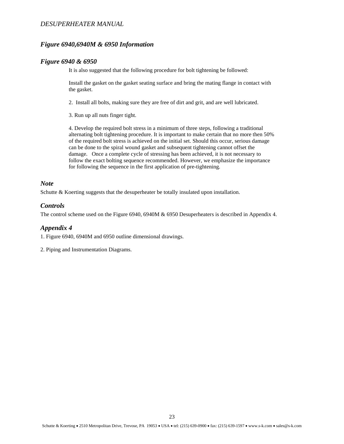#### *Figure 6940,6940M & 6950 Information*

#### <span id="page-22-0"></span>*Figure 6940 & 6950*

It is also suggested that the following procedure for bolt tightening be followed:

Install the gasket on the gasket seating surface and bring the mating flange in contact with the gasket.

- 2. Install all bolts, making sure they are free of dirt and grit, and are well lubricated.
- 3. Run up all nuts finger tight.

4. Develop the required bolt stress in a minimum of three steps, following a traditional alternating bolt tightening procedure. It is important to make certain that no more then 50% of the required bolt stress is achieved on the initial set. Should this occur, serious damage can be done to the spiral wound gasket and subsequent tightening cannot offset the damage. Once a complete cycle of stressing has been achieved, it is not necessary to follow the exact bolting sequence recommended. However, we emphasize the importance for following the sequence in the first application of pre-tightening.

#### <span id="page-22-1"></span>*Note*

Schutte & Koerting suggests that the desuperheater be totally insulated upon installation.

#### <span id="page-22-2"></span>*Controls*

The control scheme used on the Figure 6940, 6940M & 6950 Desuperheaters is described in Appendix 4.

#### <span id="page-22-3"></span>*Appendix 4*

1. Figure 6940, 6940M and 6950 outline dimensional drawings.

2. Piping and Instrumentation Diagrams.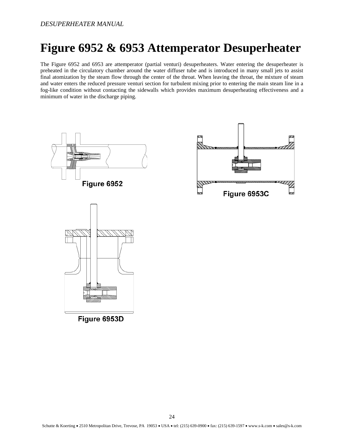### <span id="page-23-0"></span>**Figure 6952 & 6953 Attemperator Desuperheater**

The Figure 6952 and 6953 are attemperator (partial venturi) desuperheaters. Water entering the desuperheater is preheated in the circulatory chamber around the water diffuser tube and is introduced in many small jets to assist final atomization by the steam flow through the center of the throat. When leaving the throat, the mixture of steam and water enters the reduced pressure venturi section for turbulent mixing prior to entering the main steam line in a fog-like condition without contacting the sidewalls which provides maximum desuperheating effectiveness and a minimum of water in the discharge piping.

Figure 6953C



Figure 6953D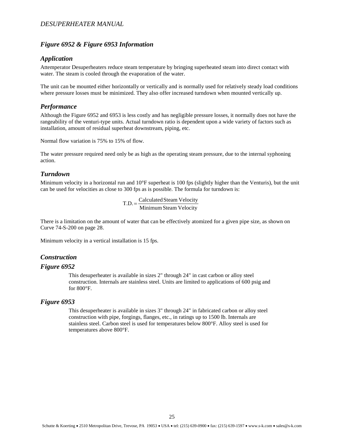#### <span id="page-24-0"></span>*Figure 6952 & Figure 6953 Information*

#### <span id="page-24-1"></span>*Application*

Attemperator Desuperheaters reduce steam temperature by bringing superheated steam into direct contact with water. The steam is cooled through the evaporation of the water.

The unit can be mounted either horizontally or vertically and is normally used for relatively steady load conditions where pressure losses must be minimized. They also offer increased turndown when mounted vertically up.

#### <span id="page-24-2"></span>*Performance*

Although the Figure 6952 and 6953 is less costly and has negligible pressure losses, it normally does not have the rangeability of the venturi-type units. Actual turndown ratio is dependent upon a wide variety of factors such as installation, amount of residual superheat downstream, piping, etc.

Normal flow variation is 75% to 15% of flow.

The water pressure required need only be as high as the operating steam pressure, due to the internal syphoning action.

#### <span id="page-24-3"></span>*Turndown*

Minimum velocity in a horizontal run and 10°F superheat is 100 fps (slightly higher than the Venturis), but the unit can be used for velocities as close to 300 fps as is possible. The formula for turndown is:

 $T.D. = \frac{Calculated Steam Velocity}{Minimum Steam Velocity}$ 

There is a limitation on the amount of water that can be effectively atomized for a given pipe size, as shown on Curve 74-S-200 on page 28.

Minimum velocity in a vertical installation is 15 fps.

#### <span id="page-24-4"></span>*Construction*

#### <span id="page-24-5"></span>*Figure 6952*

This desuperheater is available in sizes 2" through 24" in cast carbon or alloy steel construction. Internals are stainless steel. Units are limited to applications of 600 psig and for 800°F.

#### <span id="page-24-6"></span>*Figure 6953*

This desuperheater is available in sizes 3" through 24" in fabricated carbon or alloy steel construction with pipe, forgings, flanges, etc., in ratings up to 1500 lb. Internals are stainless steel. Carbon steel is used for temperatures below 800°F. Alloy steel is used for temperatures above 800°F.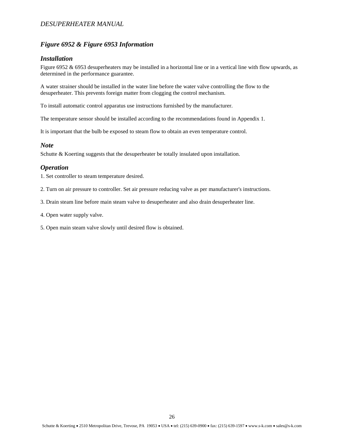#### *Figure 6952 & Figure 6953 Information*

#### <span id="page-25-0"></span>*Installation*

Figure 6952 & 6953 desuperheaters may be installed in a horizontal line or in a vertical line with flow upwards, as determined in the performance guarantee.

A water strainer should be installed in the water line before the water valve controlling the flow to the desuperheater. This prevents foreign matter from clogging the control mechanism.

To install automatic control apparatus use instructions furnished by the manufacturer.

The temperature sensor should be installed according to the recommendations found in Appendix 1.

It is important that the bulb be exposed to steam flow to obtain an even temperature control.

#### <span id="page-25-1"></span>*Note*

Schutte & Koerting suggests that the desuperheater be totally insulated upon installation.

#### <span id="page-25-2"></span>*Operation*

1. Set controller to steam temperature desired.

2. Turn on air pressure to controller. Set air pressure reducing valve as per manufacturer's instructions.

- 3. Drain steam line before main steam valve to desuperheater and also drain desuperheater line.
- 4. Open water supply valve.
- 5. Open main steam valve slowly until desired flow is obtained.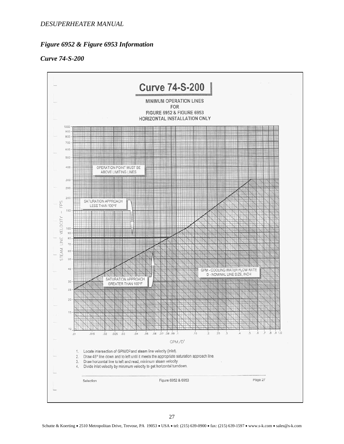#### *Figure 6952 & Figure 6953 Information*

#### <span id="page-26-0"></span>*Curve 74-S-200*

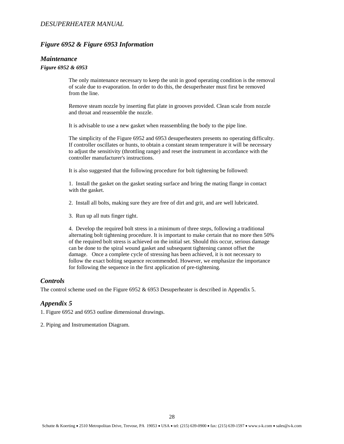#### *Figure 6952 & Figure 6953 Information*

#### <span id="page-27-0"></span>*Maintenance*

#### *Figure 6952 & 6953*

The only maintenance necessary to keep the unit in good operating condition is the removal of scale due to evaporation. In order to do this, the desuperheater must first be removed from the line.

Remove steam nozzle by inserting flat plate in grooves provided. Clean scale from nozzle and throat and reassemble the nozzle.

It is advisable to use a new gasket when reassembling the body to the pipe line.

The simplicity of the Figure 6952 and 6953 desuperheaters presents no operating difficulty. If controller oscillates or hunts, to obtain a constant steam temperature it will be necessary to adjust the sensitivity (throttling range) and reset the instrument in accordance with the controller manufacturer's instructions.

It is also suggested that the following procedure for bolt tightening be followed:

1. Install the gasket on the gasket seating surface and bring the mating flange in contact with the gasket.

2. Install all bolts, making sure they are free of dirt and grit, and are well lubricated.

3. Run up all nuts finger tight.

4. Develop the required bolt stress in a minimum of three steps, following a traditional alternating bolt tightening procedure. It is important to make certain that no more then 50% of the required bolt stress is achieved on the initial set. Should this occur, serious damage can be done to the spiral wound gasket and subsequent tightening cannot offset the damage. Once a complete cycle of stressing has been achieved, it is not necessary to follow the exact bolting sequence recommended. However, we emphasize the importance for following the sequence in the first application of pre-tightening.

#### <span id="page-27-1"></span>*Controls*

The control scheme used on the Figure 6952 & 6953 Desuperheater is described in Appendix 5.

#### <span id="page-27-2"></span>*Appendix 5*

1. Figure 6952 and 6953 outline dimensional drawings.

2. Piping and Instrumentation Diagram.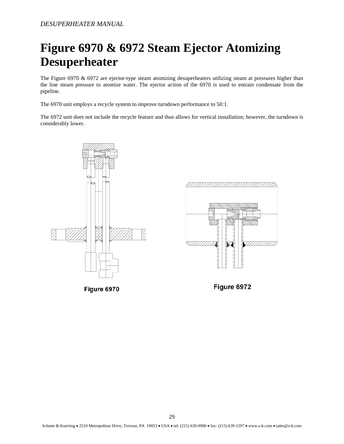### <span id="page-28-0"></span>**Figure 6970 & 6972 Steam Ejector Atomizing Desuperheater**

The Figure 6970 & 6972 are ejector-type steam atomizing desuperheaters utilizing steam at pressures higher than the line steam pressure to atomize water. The ejector action of the 6970 is used to entrain condensate from the pipeline.

The 6970 unit employs a recycle system to improve turndown performance to 50:1.

The 6972 unit does not include the recycle feature and thus allows for vertical installation; however, the turndown is considerably lower.



Figure 6970





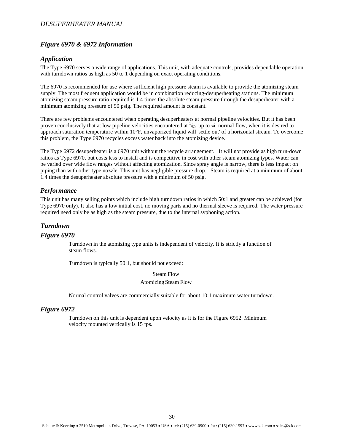#### <span id="page-29-0"></span>*Figure 6970 & 6972 Information*

#### <span id="page-29-1"></span>*Application*

The Type 6970 serves a wide range of applications. This unit, with adequate controls, provides dependable operation with turndown ratios as high as 50 to 1 depending on exact operating conditions.

The 6970 is recommended for use where sufficient high pressure steam is available to provide the atomizing steam supply. The most frequent application would be in combination reducing-desuperheating stations. The minimum atomizing steam pressure ratio required is 1.4 times the absolute steam pressure through the desuperheater with a minimum atomizing pressure of 50 psig. The required amount is constant.

There are few problems encountered when operating desuperheaters at normal pipeline velocities. But it has been proven conclusively that at low pipeline velocities encountered at  $\frac{1}{50}$  up to  $\frac{1}{4}$  normal flow, when it is desired to approach saturation temperature within 10°F, unvaporized liquid will 'settle out' of a horizontal stream. To overcome this problem, the Type 6970 recycles excess water back into the atomizing device.

The Type 6972 desuperheater is a 6970 unit without the recycle arrangement. It will not provide as high turn-down ratios as Type 6970, but costs less to install and is competitive in cost with other steam atomizing types. Water can be varied over wide flow ranges without affecting atomization. Since spray angle is narrow, there is less impact on piping than with other type nozzle. This unit has negligible pressure drop. Steam is required at a minimum of about 1.4 times the desuperheater absolute pressure with a minimum of 50 psig.

#### <span id="page-29-2"></span>*Performance*

This unit has many selling points which include high turndown ratios in which 50:1 and greater can be achieved (for Type 6970 only). It also has a low initial cost, no moving parts and no thermal sleeve is required. The water pressure required need only be as high as the steam pressure, due to the internal syphoning action.

#### <span id="page-29-3"></span>*Turndown*

#### <span id="page-29-4"></span>*Figure 6970*

Turndown in the atomizing type units is independent of velocity. It is strictly a function of steam flows.

Turndown is typically 50:1, but should not exceed:

Atomizing Steam Flow **Steam Flow** 

Normal control valves are commercially suitable for about 10:1 maximum water turndown.

#### <span id="page-29-5"></span>*Figure 6972*

Turndown on this unit is dependent upon velocity as it is for the Figure 6952. Minimum velocity mounted vertically is 15 fps.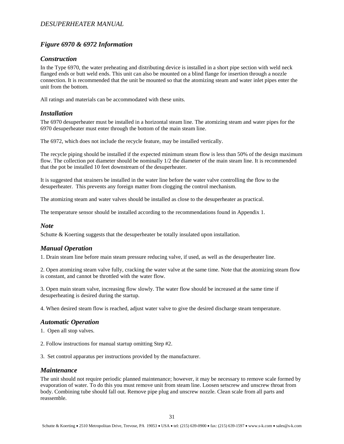#### *Figure 6970 & 6972 Information*

#### <span id="page-30-0"></span>*Construction*

In the Type 6970, the water preheating and distributing device is installed in a short pipe section with weld neck flanged ends or butt weld ends. This unit can also be mounted on a blind flange for insertion through a nozzle connection. It is recommended that the unit be mounted so that the atomizing steam and water inlet pipes enter the unit from the bottom.

All ratings and materials can be accommodated with these units.

#### <span id="page-30-1"></span>*Installation*

The 6970 desuperheater must be installed in a horizontal steam line. The atomizing steam and water pipes for the 6970 desuperheater must enter through the bottom of the main steam line.

The 6972, which does not include the recycle feature, may be installed vertically.

The recycle piping should be installed if the expected minimum steam flow is less than 50% of the design maximum flow. The collection pot diameter should be nominally 1/2 the diameter of the main steam line. It is recommended that the pot be installed 10 feet downstream of the desuperheater.

It is suggested that strainers be installed in the water line before the water valve controlling the flow to the desuperheater. This prevents any foreign matter from clogging the control mechanism.

The atomizing steam and water valves should be installed as close to the desuperheater as practical.

The temperature sensor should be installed according to the recommendations found in Appendix 1.

#### <span id="page-30-2"></span>*Note*

Schutte & Koerting suggests that the desuperheater be totally insulated upon installation.

#### <span id="page-30-3"></span>*Manual Operation*

1. Drain steam line before main steam pressure reducing valve, if used, as well as the desuperheater line.

2. Open atomizing steam valve fully, cracking the water valve at the same time. Note that the atomizing steam flow is constant, and cannot be throttled with the water flow.

3. Open main steam valve, increasing flow slowly. The water flow should be increased at the same time if desuperheating is desired during the startup.

4. When desired steam flow is reached, adjust water valve to give the desired discharge steam temperature.

#### <span id="page-30-4"></span>*Automatic Operation*

1. Open all stop valves.

2. Follow instructions for manual startup omitting Step #2.

3. Set control apparatus per instructions provided by the manufacturer.

#### <span id="page-30-5"></span>*Maintenance*

The unit should not require periodic planned maintenance; however, it may be necessary to remove scale formed by evaporation of water. To do this you must remove unit from steam line. Loosen setscrew and unscrew throat from body. Combining tube should fall out. Remove pipe plug and unscrew nozzle. Clean scale from all parts and reassemble.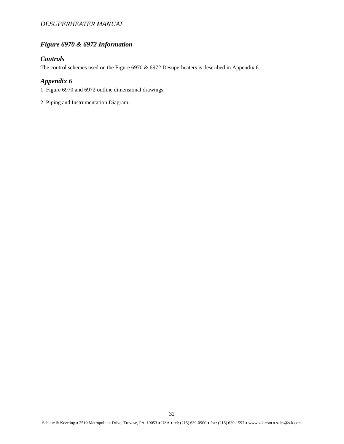#### *Figure 6970 & 6972 Information*

#### <span id="page-31-0"></span>*Controls*

The control schemes used on the Figure 6970 & 6972 Desuperheaters is described in Appendix 6.

#### <span id="page-31-1"></span>*Appendix 6*

1. Figure 6970 and 6972 outline dimensional drawings.

2. Piping and Instrumentation Diagram.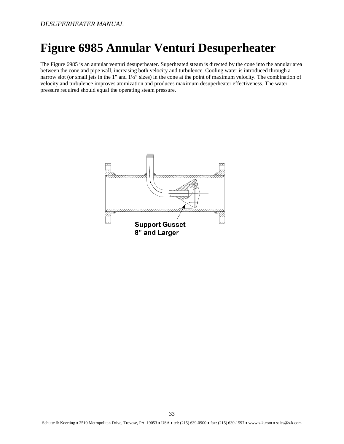### <span id="page-32-0"></span>**Figure 6985 Annular Venturi Desuperheater**

The Figure 6985 is an annular venturi desuperheater. Superheated steam is directed by the cone into the annular area between the cone and pipe wall, increasing both velocity and turbulence. Cooling water is introduced through a narrow slot (or small jets in the 1" and 1½" sizes) in the cone at the point of maximum velocity. The combination of velocity and turbulence improves atomization and produces maximum desuperheater effectiveness. The water pressure required should equal the operating steam pressure.

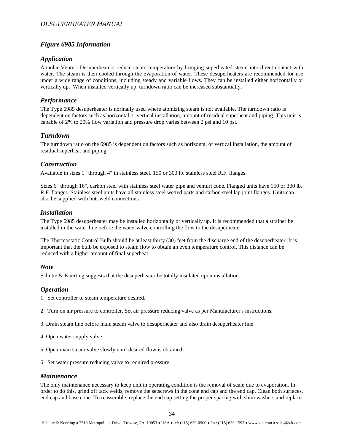#### <span id="page-33-0"></span>*Figure 6985 Information*

#### <span id="page-33-1"></span>*Application*

Annular Venturi Desuperheaters reduce steam temperature by bringing superheated steam into direct contact with water. The steam is then cooled through the evaporation of water. These desuperheaters are recommended for use under a wide range of conditions, including steady and variable flows. They can be installed either horizontally or vertically up. When installed vertically up, turndown ratio can be increased substantially.

#### <span id="page-33-2"></span>*Performance*

The Type 6985 desuperheater is normally used where atomizing steam is not available. The turndown ratio is dependent on factors such as horizontal or vertical installation, amount of residual superheat and piping. This unit is capable of 2% to 20% flow variation and pressure drop varies between 2 psi and 10 psi.

#### <span id="page-33-3"></span>*Turndown*

The turndown ratio on the 6985 is dependent on factors such as horizontal or vertical installation, the amount of residual superheat and piping.

#### <span id="page-33-4"></span>*Construction*

Available in sizes 1" through 4" in stainless steel. 150 or 300 lb. stainless steel R.F. flanges.

Sizes 6" through 16", carbon steel with stainless steel water pipe and venturi cone. Flanged units have 150 or 300 lb. R.F. flanges. Stainless steel units have all stainless steel wetted parts and carbon steel lap joint flanges. Units can also be supplied with butt weld connections.

#### <span id="page-33-5"></span>*Installation*

The Type 6985 desuperheater may be installed horizontally or vertically up. It is recommended that a strainer be installed in the water line before the water valve controlling the flow to the desuperheater.

The Thermostatic Control Bulb should be at least thirty (30) feet from the discharge end of the desuperheater. It is important that the bulb be exposed to steam flow to obtain an even temperature control. This distance can be reduced with a higher amount of final superheat.

#### <span id="page-33-6"></span>*Note*

Schutte & Koerting suggests that the desuperheater be totally insulated upon installation.

#### <span id="page-33-7"></span>*Operation*

1. Set controller to steam temperature desired.

- 2. Turn on air pressure to controller. Set air pressure reducing valve as per Manufacturer's instructions.
- 3. Drain steam line before main steam valve to desuperheater and also drain desuperheater line.
- 4. Open water supply valve.
- 5. Open main steam valve slowly until desired flow is obtained.
- 6. Set water pressure reducing valve to required pressure.

#### <span id="page-33-8"></span>*Maintenance*

The only maintenance necessary to keep unit in operating condition is the removal of scale due to evaporation. In order to do this, grind off tack welds, remove the setscrews in the cone end cap and the end cap. Clean both surfaces, end cap and base cone. To reassemble, replace the end cap setting the proper spacing with shim washers and replace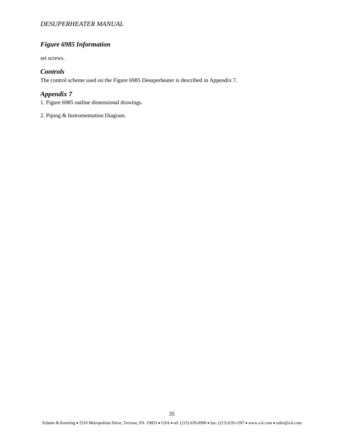#### *Figure 6985 Information*

set screws.

#### <span id="page-34-0"></span>*Controls*

The control scheme used on the Figure 6985 Desuperheater is described in Appendix 7.

#### <span id="page-34-1"></span>*Appendix 7*

1. Figure 6985 outline dimensional drawings.

2. Piping & Instrumentation Diagram.